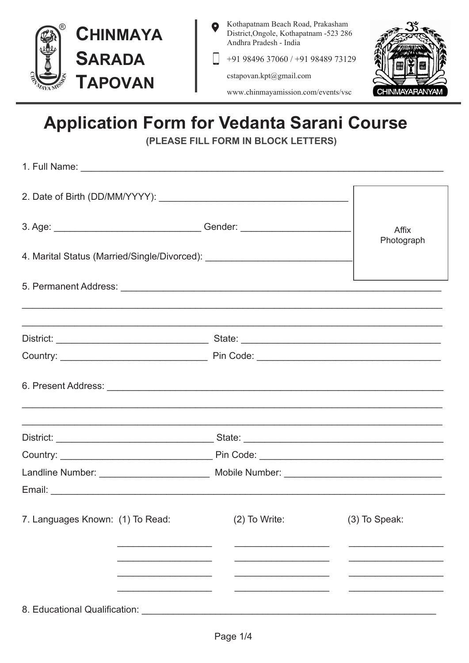

 $F \cdot \text{d}$  Masses

Kothapatnam Beach Road, Prakasham District, Ongole, Kothapatnam -523 286 Andhra Pradesh - India

+91 98496 37060 / +91 98489 73129

cstapovan.kpt@gmail.com



www.chinmayamission.com/events/vsc

## **Application Form for Vedanta Sarani Course**

(PLEASE FILL FORM IN BLOCK LETTERS)

| 4. Marital Status (Married/Single/Divorced): ___________________________________ | Photograph |  |  |  |
|----------------------------------------------------------------------------------|------------|--|--|--|
|                                                                                  |            |  |  |  |
|                                                                                  |            |  |  |  |
|                                                                                  |            |  |  |  |
|                                                                                  |            |  |  |  |
|                                                                                  |            |  |  |  |
|                                                                                  |            |  |  |  |
|                                                                                  |            |  |  |  |
| 7. Languages Known: (1) To Read: (2) To Write: (3) To Speak:                     |            |  |  |  |
|                                                                                  |            |  |  |  |
|                                                                                  |            |  |  |  |
| 8 Educational Qualification:                                                     |            |  |  |  |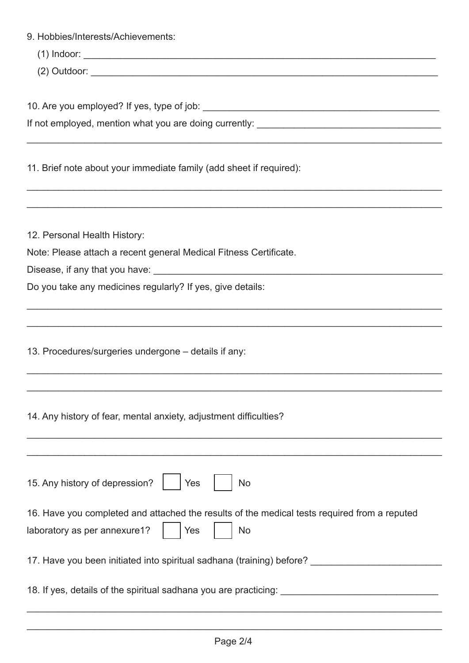| 9. Hobbies/Interests/Achievements:                                                                                                        |  |  |  |  |
|-------------------------------------------------------------------------------------------------------------------------------------------|--|--|--|--|
|                                                                                                                                           |  |  |  |  |
|                                                                                                                                           |  |  |  |  |
| 11. Brief note about your immediate family (add sheet if required):                                                                       |  |  |  |  |
| 12. Personal Health History:                                                                                                              |  |  |  |  |
| Note: Please attach a recent general Medical Fitness Certificate.                                                                         |  |  |  |  |
|                                                                                                                                           |  |  |  |  |
| Do you take any medicines regularly? If yes, give details:                                                                                |  |  |  |  |
|                                                                                                                                           |  |  |  |  |
| 13. Procedures/surgeries undergone – details if any:                                                                                      |  |  |  |  |
|                                                                                                                                           |  |  |  |  |
| 14. Any history of fear, mental anxiety, adjustment difficulties?                                                                         |  |  |  |  |
|                                                                                                                                           |  |  |  |  |
| 15. Any history of depression?<br><b>No</b><br>Yes                                                                                        |  |  |  |  |
| 16. Have you completed and attached the results of the medical tests required from a reputed<br>laboratory as per annexure1?<br>No<br>Yes |  |  |  |  |
| 17. Have you been initiated into spiritual sadhana (training) before?                                                                     |  |  |  |  |
| 18. If yes, details of the spiritual sadhana you are practicing:                                                                          |  |  |  |  |

\_\_\_\_\_\_\_\_\_\_\_\_\_\_\_\_\_\_\_\_\_\_\_\_\_\_\_\_\_\_\_\_\_\_\_\_\_\_\_\_\_\_\_\_\_\_\_\_\_\_\_\_\_\_\_\_\_\_\_\_\_\_\_\_\_\_\_\_\_\_\_\_\_\_\_\_\_\_\_

\_\_\_\_\_\_\_\_\_\_\_\_\_\_\_\_\_\_\_\_\_\_\_\_\_\_\_\_\_\_\_\_\_\_\_\_\_\_\_\_\_\_\_\_\_\_\_\_\_\_\_\_\_\_\_\_\_\_\_\_\_\_\_\_\_\_\_\_\_\_\_\_\_\_\_\_\_\_\_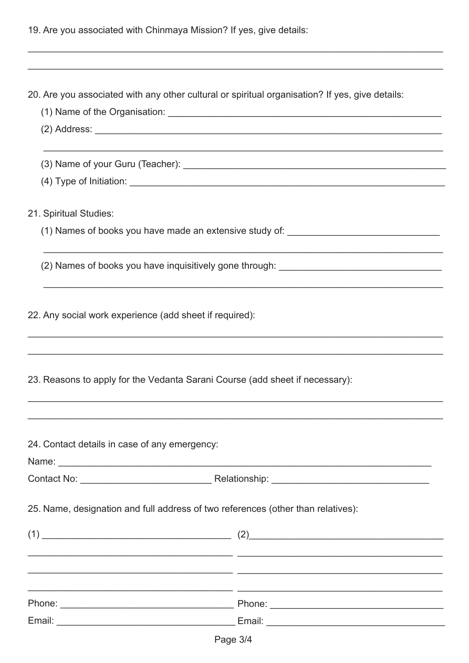|  |  | 19. Are you associated with Chinmaya Mission? If yes, give details: |
|--|--|---------------------------------------------------------------------|
|  |  |                                                                     |

|                                                                                  | 20. Are you associated with any other cultural or spiritual organisation? If yes, give details: |  |  |  |  |
|----------------------------------------------------------------------------------|-------------------------------------------------------------------------------------------------|--|--|--|--|
|                                                                                  |                                                                                                 |  |  |  |  |
|                                                                                  |                                                                                                 |  |  |  |  |
|                                                                                  |                                                                                                 |  |  |  |  |
|                                                                                  |                                                                                                 |  |  |  |  |
| 21. Spiritual Studies:                                                           |                                                                                                 |  |  |  |  |
|                                                                                  | (1) Names of books you have made an extensive study of: ________________________                |  |  |  |  |
|                                                                                  |                                                                                                 |  |  |  |  |
|                                                                                  |                                                                                                 |  |  |  |  |
| 22. Any social work experience (add sheet if required):                          |                                                                                                 |  |  |  |  |
|                                                                                  |                                                                                                 |  |  |  |  |
| 23. Reasons to apply for the Vedanta Sarani Course (add sheet if necessary):     |                                                                                                 |  |  |  |  |
|                                                                                  |                                                                                                 |  |  |  |  |
| 24. Contact details in case of any emergency:                                    |                                                                                                 |  |  |  |  |
|                                                                                  |                                                                                                 |  |  |  |  |
|                                                                                  |                                                                                                 |  |  |  |  |
| 25. Name, designation and full address of two references (other than relatives): |                                                                                                 |  |  |  |  |
|                                                                                  |                                                                                                 |  |  |  |  |
|                                                                                  |                                                                                                 |  |  |  |  |
|                                                                                  |                                                                                                 |  |  |  |  |
|                                                                                  |                                                                                                 |  |  |  |  |
|                                                                                  |                                                                                                 |  |  |  |  |